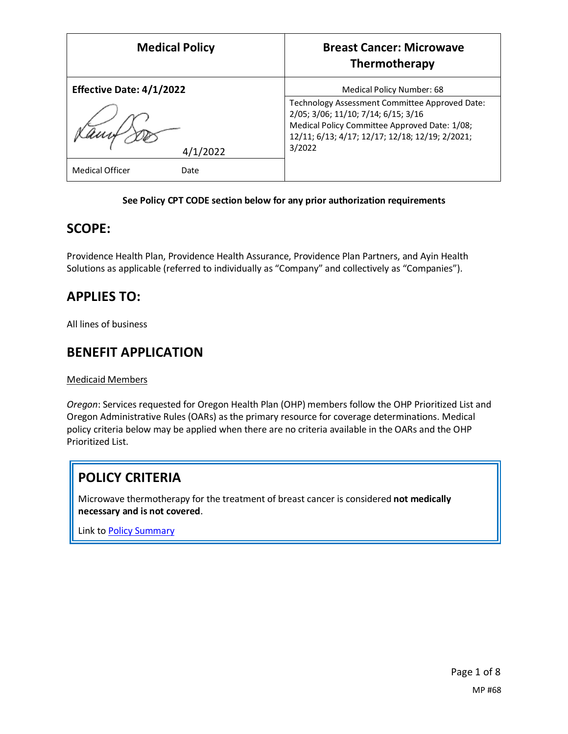| <b>Medical Policy</b>           | <b>Breast Cancer: Microwave</b><br>Thermotherapy                                                                                                                                          |
|---------------------------------|-------------------------------------------------------------------------------------------------------------------------------------------------------------------------------------------|
| <b>Effective Date: 4/1/2022</b> | Medical Policy Number: 68                                                                                                                                                                 |
|                                 | Technology Assessment Committee Approved Date:<br>2/05; 3/06; 11/10; 7/14; 6/15; 3/16<br>Medical Policy Committee Approved Date: 1/08;<br>12/11; 6/13; 4/17; 12/17; 12/18; 12/19; 2/2021; |
| 4/1/2022                        | 3/2022                                                                                                                                                                                    |
| <b>Medical Officer</b><br>Date  |                                                                                                                                                                                           |

### **See Policy CPT CODE section below for any prior authorization requirements**

### **SCOPE:**

Providence Health Plan, Providence Health Assurance, Providence Plan Partners, and Ayin Health Solutions as applicable (referred to individually as "Company" and collectively as "Companies").

# **APPLIES TO:**

All lines of business

### **BENEFIT APPLICATION**

Medicaid Members

*Oregon*: Services requested for Oregon Health Plan (OHP) members follow the OHP Prioritized List and Oregon Administrative Rules (OARs) as the primary resource for coverage determinations. Medical policy criteria below may be applied when there are no criteria available in the OARs and the OHP Prioritized List.

# **POLICY CRITERIA**

Microwave thermotherapy for the treatment of breast cancer is considered **not medically necessary and is not covered**.

Link t[o Policy Summary](#page-5-0)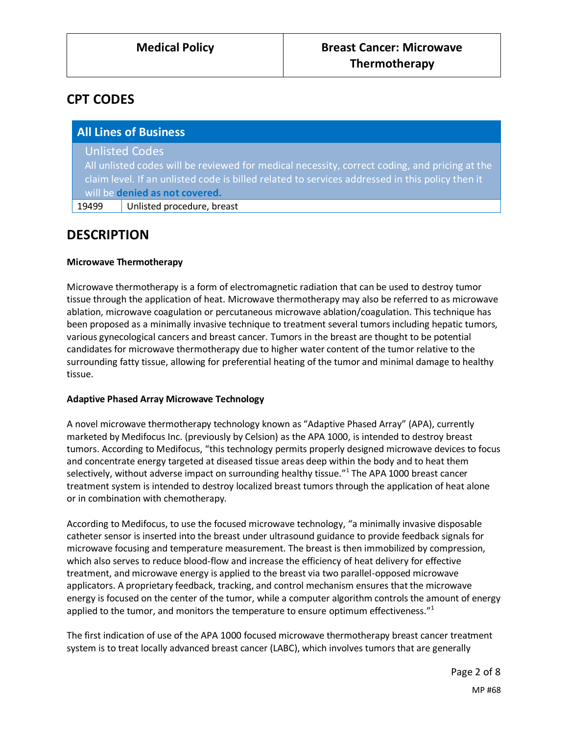# **CPT CODES**

| <b>All Lines of Business</b> |                                                                                                 |
|------------------------------|-------------------------------------------------------------------------------------------------|
|                              | <b>Unlisted Codes</b>                                                                           |
|                              | All unlisted codes will be reviewed for medical necessity, correct coding, and pricing at the   |
|                              | claim level. If an unlisted code is billed related to services addressed in this policy then it |
|                              | will be denied as not covered.                                                                  |
| 19499                        | Unlisted procedure, breast                                                                      |

## **DESCRIPTION**

### **Microwave Thermotherapy**

Microwave thermotherapy is a form of electromagnetic radiation that can be used to destroy tumor tissue through the application of heat. Microwave thermotherapy may also be referred to as microwave ablation, microwave coagulation or percutaneous microwave ablation/coagulation. This technique has been proposed as a minimally invasive technique to treatment several tumors including hepatic tumors, various gynecological cancers and breast cancer. Tumors in the breast are thought to be potential candidates for microwave thermotherapy due to higher water content of the tumor relative to the surrounding fatty tissue, allowing for preferential heating of the tumor and minimal damage to healthy tissue.

#### **Adaptive Phased Array Microwave Technology**

A novel microwave thermotherapy technology known as "Adaptive Phased Array" (APA), currently marketed by Medifocus Inc. (previously by Celsion) as the APA 1000, is intended to destroy breast tumors. According to Medifocus, "this technology permits properly designed microwave devices to focus and concentrate energy targeted at diseased tissue areas deep within the body and to heat them selectively, without adverse impact on surrounding healthy tissue."<sup>1</sup> The APA 1000 breast cancer treatment system is intended to destroy localized breast tumors through the application of heat alone or in combination with chemotherapy.

According to Medifocus, to use the focused microwave technology, "a minimally invasive disposable catheter sensor is inserted into the breast under ultrasound guidance to provide feedback signals for microwave focusing and temperature measurement. The breast is then immobilized by compression, which also serves to reduce blood-flow and increase the efficiency of heat delivery for effective treatment, and microwave energy is applied to the breast via two parallel-opposed microwave applicators. A proprietary feedback, tracking, and control mechanism ensures that the microwave energy is focused on the center of the tumor, while a computer algorithm controls the amount of energy applied to the tumor, and monitors the temperature to ensure optimum effectiveness."<sup>1</sup>

The first indication of use of the APA 1000 focused microwave thermotherapy breast cancer treatment system is to treat locally advanced breast cancer (LABC), which involves tumors that are generally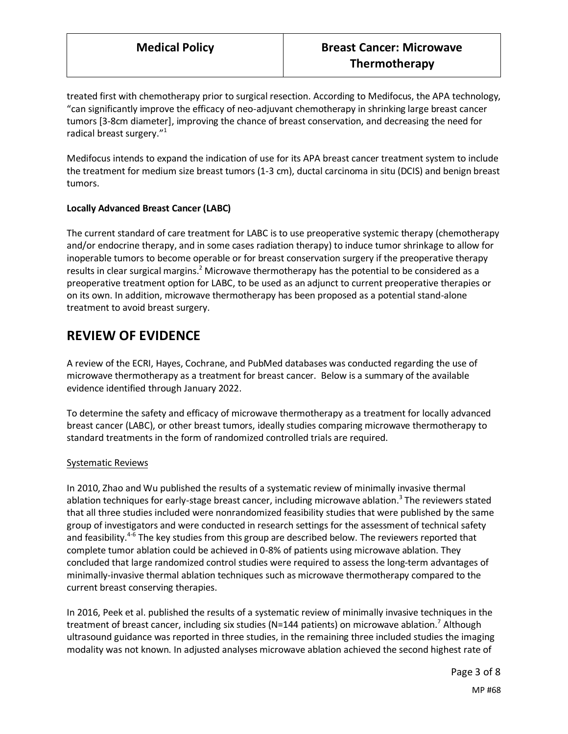treated first with chemotherapy prior to surgical resection. According to Medifocus, the APA technology, "can significantly improve the efficacy of neo-adjuvant chemotherapy in shrinking large breast cancer tumors [3-8cm diameter], improving the chance of breast conservation, and decreasing the need for radical breast surgery."<sup>1</sup>

Medifocus intends to expand the indication of use for its APA breast cancer treatment system to include the treatment for medium size breast tumors (1-3 cm), ductal carcinoma in situ (DCIS) and benign breast tumors.

### **Locally Advanced Breast Cancer (LABC)**

The current standard of care treatment for LABC is to use preoperative systemic therapy (chemotherapy and/or endocrine therapy, and in some cases radiation therapy) to induce tumor shrinkage to allow for inoperable tumors to become operable or for breast conservation surgery if the preoperative therapy results in clear surgical margins.<sup>2</sup> Microwave thermotherapy has the potential to be considered as a preoperative treatment option for LABC, to be used as an adjunct to current preoperative therapies or on its own. In addition, microwave thermotherapy has been proposed as a potential stand-alone treatment to avoid breast surgery.

## **REVIEW OF EVIDENCE**

A review of the ECRI, Hayes, Cochrane, and PubMed databases was conducted regarding the use of microwave thermotherapy as a treatment for breast cancer. Below is a summary of the available evidence identified through January 2022.

To determine the safety and efficacy of microwave thermotherapy as a treatment for locally advanced breast cancer (LABC), or other breast tumors, ideally studies comparing microwave thermotherapy to standard treatments in the form of randomized controlled trials are required.

#### Systematic Reviews

In 2010, Zhao and Wu published the results of a systematic review of minimally invasive thermal ablation techniques for early-stage breast cancer, including microwave ablation.<sup>3</sup> The reviewers stated that all three studies included were nonrandomized feasibility studies that were published by the same group of investigators and were conducted in research settings for the assessment of technical safety and feasibility.<sup>4-6</sup> The key studies from this group are described below. The reviewers reported that complete tumor ablation could be achieved in 0-8% of patients using microwave ablation. They concluded that large randomized control studies were required to assess the long-term advantages of minimally-invasive thermal ablation techniques such as microwave thermotherapy compared to the current breast conserving therapies.

In 2016, Peek et al. published the results of a systematic review of minimally invasive techniques in the treatment of breast cancer, including six studies (N=144 patients) on microwave ablation. Although ultrasound guidance was reported in three studies, in the remaining three included studies the imaging modality was not known. In adjusted analyses microwave ablation achieved the second highest rate of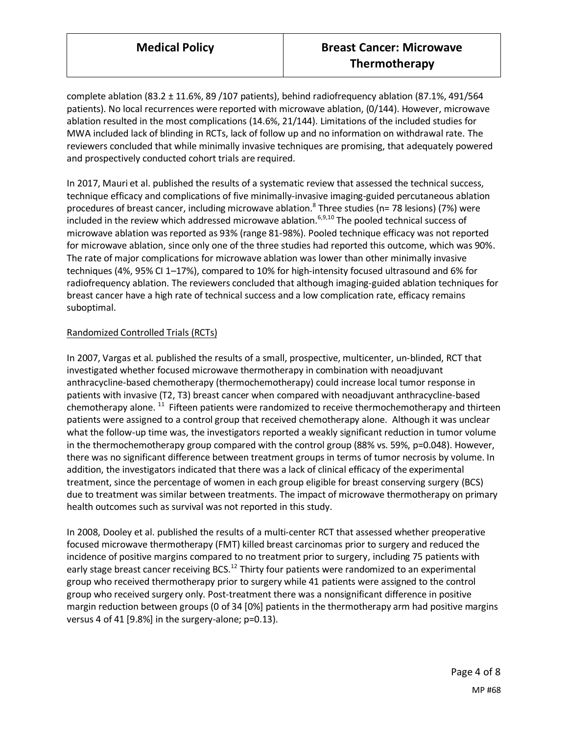complete ablation (83.2 ± 11.6%, 89 /107 patients), behind radiofrequency ablation (87.1%, 491/564 patients). No local recurrences were reported with microwave ablation, (0/144). However, microwave ablation resulted in the most complications (14.6%, 21/144). Limitations of the included studies for MWA included lack of blinding in RCTs, lack of follow up and no information on withdrawal rate. The reviewers concluded that while minimally invasive techniques are promising, that adequately powered and prospectively conducted cohort trials are required.

In 2017, Mauri et al. published the results of a systematic review that assessed the technical success, technique efficacy and complications of five minimally-invasive imaging-guided percutaneous ablation procedures of breast cancer, including microwave ablation.<sup>8</sup> Three studies (n= 78 lesions) (7%) were included in the review which addressed microwave ablation.<sup>6,9,10</sup> The pooled technical success of microwave ablation was reported as 93% (range 81-98%). Pooled technique efficacy was not reported for microwave ablation, since only one of the three studies had reported this outcome, which was 90%. The rate of major complications for microwave ablation was lower than other minimally invasive techniques (4%, 95% CI 1–17%), compared to 10% for high-intensity focused ultrasound and 6% for radiofrequency ablation. The reviewers concluded that although imaging-guided ablation techniques for breast cancer have a high rate of technical success and a low complication rate, efficacy remains suboptimal.

### Randomized Controlled Trials (RCTs)

In 2007, Vargas et al. published the results of a small, prospective, multicenter, un-blinded, RCT that investigated whether focused microwave thermotherapy in combination with neoadjuvant anthracycline-based chemotherapy (thermochemotherapy) could increase local tumor response in patients with invasive (T2, T3) breast cancer when compared with neoadjuvant anthracycline-based chemotherapy alone. <sup>11</sup> Fifteen patients were randomized to receive thermochemotherapy and thirteen patients were assigned to a control group that received chemotherapy alone. Although it was unclear what the follow-up time was, the investigators reported a weakly significant reduction in tumor volume in the thermochemotherapy group compared with the control group (88% vs. 59%, p=0.048). However, there was no significant difference between treatment groups in terms of tumor necrosis by volume. In addition, the investigators indicated that there was a lack of clinical efficacy of the experimental treatment, since the percentage of women in each group eligible for breast conserving surgery (BCS) due to treatment was similar between treatments. The impact of microwave thermotherapy on primary health outcomes such as survival was not reported in this study.

In 2008, Dooley et al. published the results of a multi-center RCT that assessed whether preoperative focused microwave thermotherapy (FMT) killed breast carcinomas prior to surgery and reduced the incidence of positive margins compared to no treatment prior to surgery, including 75 patients with early stage breast cancer receiving BCS.<sup>12</sup> Thirty four patients were randomized to an experimental group who received thermotherapy prior to surgery while 41 patients were assigned to the control group who received surgery only. Post-treatment there was a nonsignificant difference in positive margin reduction between groups (0 of 34 [0%] patients in the thermotherapy arm had positive margins versus 4 of 41 [9.8%] in the surgery-alone; p=0.13).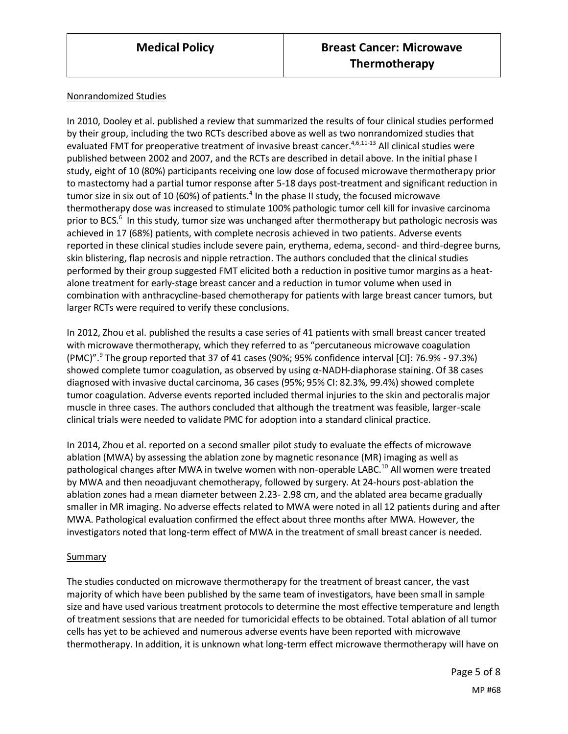#### Nonrandomized Studies

In 2010, Dooley et al. published a review that summarized the results of four clinical studies performed by their group, including the two RCTs described above as well as two nonrandomized studies that evaluated FMT for preoperative treatment of invasive breast cancer.<sup>4,6,11-13</sup> All clinical studies were published between 2002 and 2007, and the RCTs are described in detail above. In the initial phase I study, eight of 10 (80%) participants receiving one low dose of focused microwave thermotherapy prior to mastectomy had a partial tumor response after 5-18 days post-treatment and significant reduction in tumor size in six out of 10 (60%) of patients.<sup>4</sup> In the phase II study, the focused microwave thermotherapy dose was increased to stimulate 100% pathologic tumor cell kill for invasive carcinoma prior to BCS.<sup>6</sup> In this study, tumor size was unchanged after thermotherapy but pathologic necrosis was achieved in 17 (68%) patients, with complete necrosis achieved in two patients. Adverse events reported in these clinical studies include severe pain, erythema, edema, second- and third-degree burns, skin blistering, flap necrosis and nipple retraction. The authors concluded that the clinical studies performed by their group suggested FMT elicited both a reduction in positive tumor margins as a heatalone treatment for early-stage breast cancer and a reduction in tumor volume when used in combination with anthracycline-based chemotherapy for patients with large breast cancer tumors, but larger RCTs were required to verify these conclusions.

In 2012, Zhou et al. published the results a case series of 41 patients with small breast cancer treated with microwave thermotherapy, which they referred to as "percutaneous microwave coagulation (PMC)".<sup>9</sup> The group reported that 37 of 41 cases (90%; 95% confidence interval [CI]: 76.9% - 97.3%) showed complete tumor coagulation, as observed by using α-NADH-diaphorase staining. Of 38 cases diagnosed with invasive ductal carcinoma, 36 cases (95%; 95% CI: 82.3%, 99.4%) showed complete tumor coagulation. Adverse events reported included thermal injuries to the skin and pectoralis major muscle in three cases. The authors concluded that although the treatment was feasible, larger-scale clinical trials were needed to validate PMC for adoption into a standard clinical practice.

In 2014, Zhou et al. reported on a second smaller pilot study to evaluate the effects of microwave ablation (MWA) by assessing the ablation zone by magnetic resonance (MR) imaging as well as pathological changes after MWA in twelve women with non-operable LABC.<sup>10</sup> All women were treated by MWA and then neoadjuvant chemotherapy, followed by surgery. At 24-hours post-ablation the ablation zones had a mean diameter between 2.23- 2.98 cm, and the ablated area became gradually smaller in MR imaging. No adverse effects related to MWA were noted in all 12 patients during and after MWA. Pathological evaluation confirmed the effect about three months after MWA. However, the investigators noted that long-term effect of MWA in the treatment of small breast cancer is needed.

#### Summary

The studies conducted on microwave thermotherapy for the treatment of breast cancer, the vast majority of which have been published by the same team of investigators, have been small in sample size and have used various treatment protocols to determine the most effective temperature and length of treatment sessions that are needed for tumoricidal effects to be obtained. Total ablation of all tumor cells has yet to be achieved and numerous adverse events have been reported with microwave thermotherapy. In addition, it is unknown what long-term effect microwave thermotherapy will have on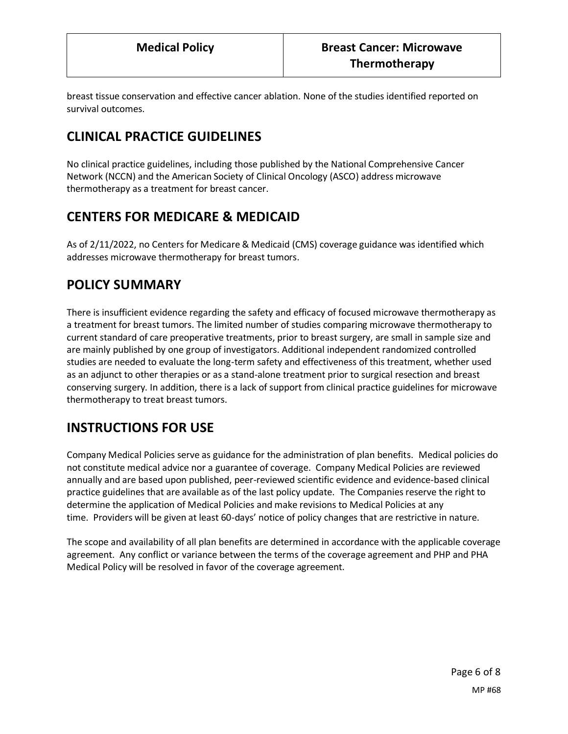breast tissue conservation and effective cancer ablation. None of the studies identified reported on survival outcomes.

# **CLINICAL PRACTICE GUIDELINES**

No clinical practice guidelines, including those published by the National Comprehensive Cancer Network (NCCN) and the American Society of Clinical Oncology (ASCO) address microwave thermotherapy as a treatment for breast cancer.

## <span id="page-5-0"></span>**CENTERS FOR MEDICARE & MEDICAID**

As of 2/11/2022, no Centers for Medicare & Medicaid (CMS) coverage guidance was identified which addresses microwave thermotherapy for breast tumors.

### **POLICY SUMMARY**

There is insufficient evidence regarding the safety and efficacy of focused microwave thermotherapy as a treatment for breast tumors. The limited number of studies comparing microwave thermotherapy to current standard of care preoperative treatments, prior to breast surgery, are small in sample size and are mainly published by one group of investigators. Additional independent randomized controlled studies are needed to evaluate the long-term safety and effectiveness of this treatment, whether used as an adjunct to other therapies or as a stand-alone treatment prior to surgical resection and breast conserving surgery. In addition, there is a lack of support from clinical practice guidelines for microwave thermotherapy to treat breast tumors.

## **INSTRUCTIONS FOR USE**

Company Medical Policies serve as guidance for the administration of plan benefits. Medical policies do not constitute medical advice nor a guarantee of coverage. Company Medical Policies are reviewed annually and are based upon published, peer-reviewed scientific evidence and evidence-based clinical practice guidelines that are available as of the last policy update. The Companies reserve the right to determine the application of Medical Policies and make revisions to Medical Policies at any time. Providers will be given at least 60-days' notice of policy changes that are restrictive in nature.

The scope and availability of all plan benefits are determined in accordance with the applicable coverage agreement. Any conflict or variance between the terms of the coverage agreement and PHP and PHA Medical Policy will be resolved in favor of the coverage agreement.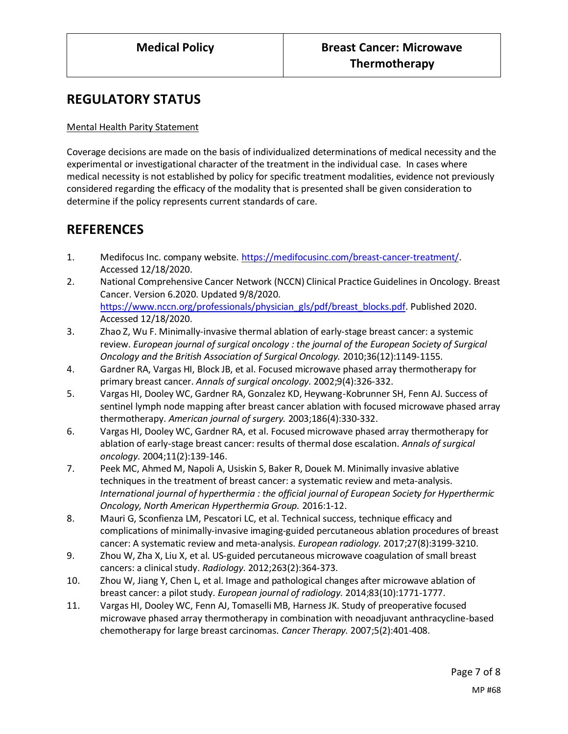## **REGULATORY STATUS**

### Mental Health Parity Statement

Coverage decisions are made on the basis of individualized determinations of medical necessity and the experimental or investigational character of the treatment in the individual case. In cases where medical necessity is not established by policy for specific treatment modalities, evidence not previously considered regarding the efficacy of the modality that is presented shall be given consideration to determine if the policy represents current standards of care.

## **REFERENCES**

- 1. Medifocus Inc. company website. [https://medifocusinc.com/breast-cancer-treatment/.](https://medifocusinc.com/breast-cancer-treatment/) Accessed 12/18/2020.
- 2. National Comprehensive Cancer Network (NCCN) Clinical Practice Guidelines in Oncology. Breast Cancer. Version 6.2020. Updated 9/8/2020. [https://www.nccn.org/professionals/physician\\_gls/pdf/breast\\_blocks.pdf.](https://www.nccn.org/professionals/physician_gls/pdf/breast_blocks.pdf) Published 2020. Accessed 12/18/2020.
- 3. Zhao Z, Wu F. Minimally-invasive thermal ablation of early-stage breast cancer: a systemic review. *European journal of surgical oncology : the journal of the European Society of Surgical Oncology and the British Association of Surgical Oncology.* 2010;36(12):1149-1155.
- 4. Gardner RA, Vargas HI, Block JB, et al. Focused microwave phased array thermotherapy for primary breast cancer. *Annals of surgical oncology.* 2002;9(4):326-332.
- 5. Vargas HI, Dooley WC, Gardner RA, Gonzalez KD, Heywang-Kobrunner SH, Fenn AJ. Success of sentinel lymph node mapping after breast cancer ablation with focused microwave phased array thermotherapy. *American journal of surgery.* 2003;186(4):330-332.
- 6. Vargas HI, Dooley WC, Gardner RA, et al. Focused microwave phased array thermotherapy for ablation of early-stage breast cancer: results of thermal dose escalation. *Annals of surgical oncology.* 2004;11(2):139-146.
- 7. Peek MC, Ahmed M, Napoli A, Usiskin S, Baker R, Douek M. Minimally invasive ablative techniques in the treatment of breast cancer: a systematic review and meta-analysis. *International journal of hyperthermia : the official journal of European Society for Hyperthermic Oncology, North American Hyperthermia Group.* 2016:1-12.
- 8. Mauri G, Sconfienza LM, Pescatori LC, et al. Technical success, technique efficacy and complications of minimally-invasive imaging-guided percutaneous ablation procedures of breast cancer: A systematic review and meta-analysis. *European radiology.* 2017;27(8):3199-3210.
- 9. Zhou W, Zha X, Liu X, et al. US-guided percutaneous microwave coagulation of small breast cancers: a clinical study. *Radiology.* 2012;263(2):364-373.
- 10. Zhou W, Jiang Y, Chen L, et al. Image and pathological changes after microwave ablation of breast cancer: a pilot study. *European journal of radiology.* 2014;83(10):1771-1777.
- 11. Vargas HI, Dooley WC, Fenn AJ, Tomaselli MB, Harness JK. Study of preoperative focused microwave phased array thermotherapy in combination with neoadjuvant anthracycline-based chemotherapy for large breast carcinomas. *Cancer Therapy.* 2007;5(2):401-408.